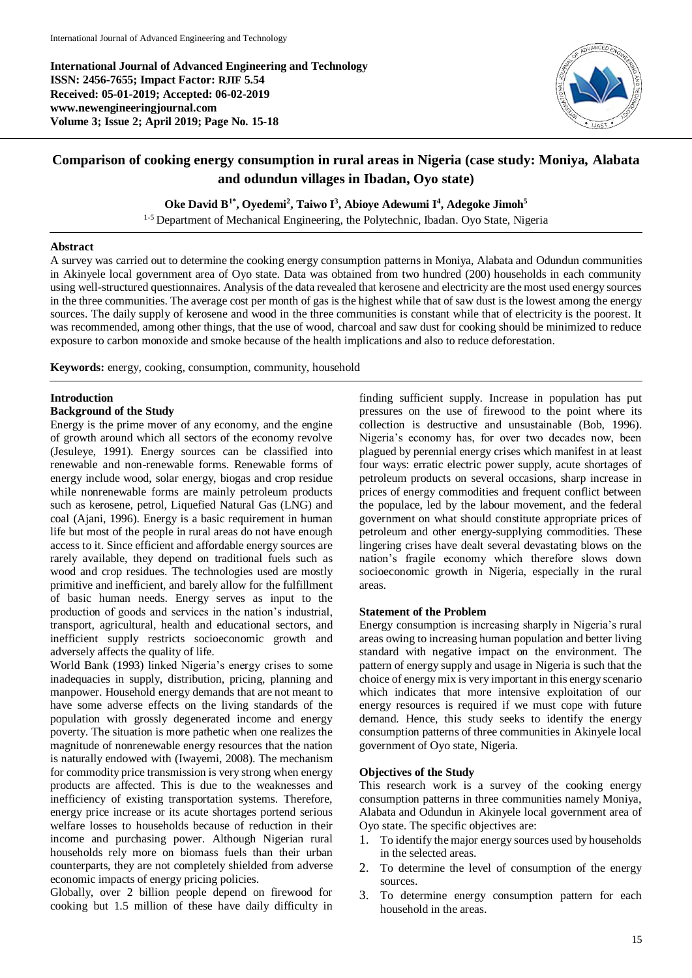**International Journal of Advanced Engineering and Technology ISSN: 2456-7655; Impact Factor: RJIF 5.54 Received: 05-01-2019; Accepted: 06-02-2019 www.newengineeringjournal.com Volume 3; Issue 2; April 2019; Page No. 15-18**



# **Comparison of cooking energy consumption in rural areas in Nigeria (case study: Moniya, Alabata and odundun villages in Ibadan, Oyo state)**

**Oke David B1\* , Oyedemi<sup>2</sup> , Taiwo I<sup>3</sup> , Abioye Adewumi I<sup>4</sup> , Adegoke Jimoh<sup>5</sup>**

<sup>1-5</sup> Department of Mechanical Engineering, the Polytechnic, Ibadan. Oyo State, Nigeria

#### **Abstract**

A survey was carried out to determine the cooking energy consumption patterns in Moniya, Alabata and Odundun communities in Akinyele local government area of Oyo state. Data was obtained from two hundred (200) households in each community using well-structured questionnaires. Analysis of the data revealed that kerosene and electricity are the most used energy sources in the three communities. The average cost per month of gas is the highest while that of saw dust is the lowest among the energy sources. The daily supply of kerosene and wood in the three communities is constant while that of electricity is the poorest. It was recommended, among other things, that the use of wood, charcoal and saw dust for cooking should be minimized to reduce exposure to carbon monoxide and smoke because of the health implications and also to reduce deforestation.

**Keywords:** energy, cooking, consumption, community, household

#### **Introduction**

### **Background of the Study**

Energy is the prime mover of any economy, and the engine of growth around which all sectors of the economy revolve (Jesuleye, 1991). Energy sources can be classified into renewable and non-renewable forms. Renewable forms of energy include wood, solar energy, biogas and crop residue while nonrenewable forms are mainly petroleum products such as kerosene, petrol, Liquefied Natural Gas (LNG) and coal (Ajani, 1996). Energy is a basic requirement in human life but most of the people in rural areas do not have enough access to it. Since efficient and affordable energy sources are rarely available, they depend on traditional fuels such as wood and crop residues. The technologies used are mostly primitive and inefficient, and barely allow for the fulfillment of basic human needs. Energy serves as input to the production of goods and services in the nation's industrial, transport, agricultural, health and educational sectors, and inefficient supply restricts socioeconomic growth and adversely affects the quality of life.

World Bank (1993) linked Nigeria's energy crises to some inadequacies in supply, distribution, pricing, planning and manpower. Household energy demands that are not meant to have some adverse effects on the living standards of the population with grossly degenerated income and energy poverty. The situation is more pathetic when one realizes the magnitude of nonrenewable energy resources that the nation is naturally endowed with (Iwayemi, 2008). The mechanism for commodity price transmission is very strong when energy products are affected. This is due to the weaknesses and inefficiency of existing transportation systems. Therefore, energy price increase or its acute shortages portend serious welfare losses to households because of reduction in their income and purchasing power. Although Nigerian rural households rely more on biomass fuels than their urban counterparts, they are not completely shielded from adverse economic impacts of energy pricing policies.

Globally, over 2 billion people depend on firewood for cooking but 1.5 million of these have daily difficulty in finding sufficient supply. Increase in population has put pressures on the use of firewood to the point where its collection is destructive and unsustainable (Bob, 1996). Nigeria's economy has, for over two decades now, been plagued by perennial energy crises which manifest in at least four ways: erratic electric power supply, acute shortages of petroleum products on several occasions, sharp increase in prices of energy commodities and frequent conflict between the populace, led by the labour movement, and the federal government on what should constitute appropriate prices of petroleum and other energy-supplying commodities. These lingering crises have dealt several devastating blows on the nation's fragile economy which therefore slows down socioeconomic growth in Nigeria, especially in the rural areas.

#### **Statement of the Problem**

Energy consumption is increasing sharply in Nigeria's rural areas owing to increasing human population and better living standard with negative impact on the environment. The pattern of energy supply and usage in Nigeria is such that the choice of energy mix is very important in this energy scenario which indicates that more intensive exploitation of our energy resources is required if we must cope with future demand. Hence, this study seeks to identify the energy consumption patterns of three communities in Akinyele local government of Oyo state, Nigeria.

#### **Objectives of the Study**

This research work is a survey of the cooking energy consumption patterns in three communities namely Moniya, Alabata and Odundun in Akinyele local government area of Oyo state. The specific objectives are:

- 1. To identify the major energy sources used by households in the selected areas.
- 2. To determine the level of consumption of the energy sources.
- 3. To determine energy consumption pattern for each household in the areas.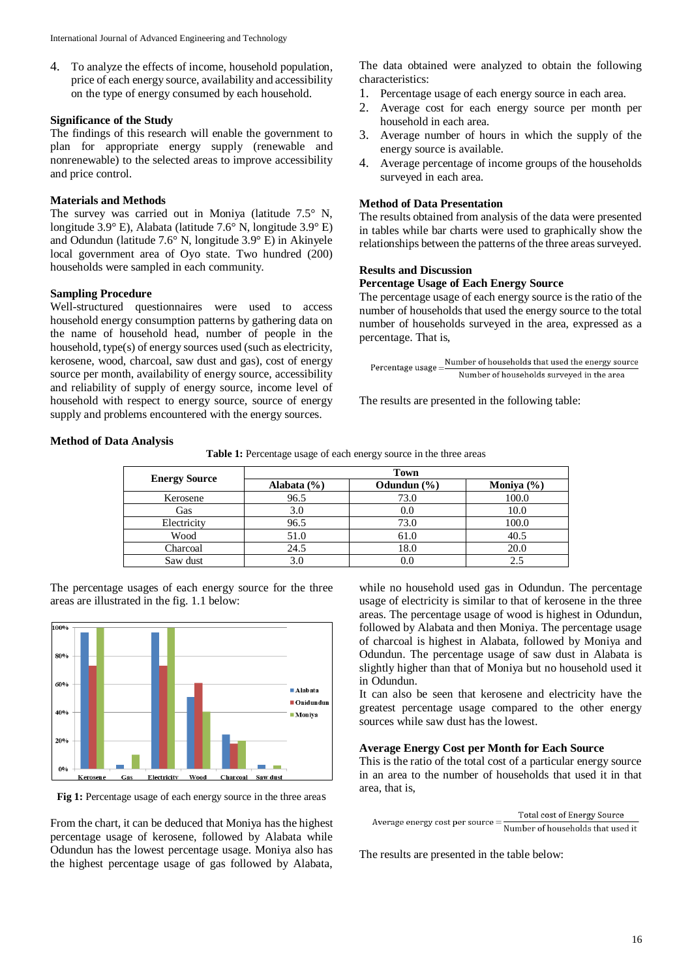4. To analyze the effects of income, household population, price of each energy source, availability and accessibility on the type of energy consumed by each household.

## **Significance of the Study**

The findings of this research will enable the government to plan for appropriate energy supply (renewable and nonrenewable) to the selected areas to improve accessibility and price control.

## **Materials and Methods**

The survey was carried out in Moniya (latitude 7.5° N, longitude 3.9° E), Alabata (latitude 7.6° N, longitude 3.9° E) and Odundun (latitude 7.6° N, longitude 3.9° E) in Akinyele local government area of Oyo state. Two hundred (200) households were sampled in each community.

#### **Sampling Procedure**

Well-structured questionnaires were used to access household energy consumption patterns by gathering data on the name of household head, number of people in the household, type(s) of energy sources used (such as electricity, kerosene, wood, charcoal, saw dust and gas), cost of energy source per month, availability of energy source, accessibility and reliability of supply of energy source, income level of household with respect to energy source, source of energy supply and problems encountered with the energy sources.

The data obtained were analyzed to obtain the following characteristics:

- 1. Percentage usage of each energy source in each area.
- 2. Average cost for each energy source per month per household in each area.
- 3. Average number of hours in which the supply of the energy source is available.
- 4. Average percentage of income groups of the households surveyed in each area.

### **Method of Data Presentation**

The results obtained from analysis of the data were presented in tables while bar charts were used to graphically show the relationships between the patterns of the three areas surveyed.

#### **Results and Discussion**

#### **Percentage Usage of Each Energy Source**

The percentage usage of each energy source is the ratio of the number of households that used the energy source to the total number of households surveyed in the area, expressed as a percentage. That is,

Number of households that used the energy source Percentage usage = Number of households surveyed in the area

The results are presented in the following table:

# **Method of Data Analysis**

**Table 1:** Percentage usage of each energy source in the three areas

| <b>Energy Source</b> | <b>Town</b>     |                 |                |
|----------------------|-----------------|-----------------|----------------|
|                      | Alabata $(\% )$ | Odundun $(\% )$ | Moniya $(\% )$ |
| Kerosene             | 96.5            | 73.0            | 100.0          |
| Gas                  | 3.0             | 0.0             | 10.0           |
| Electricity          | 96.5            | 73.0            | 100.0          |
| Wood                 | 51.0            | 61.0            | 40.5           |
| Charcoal             | 24.5            | 18.0            | 20.0           |
| Saw dust             | 3.0             | 0.0             | 2.5            |

The percentage usages of each energy source for the three areas are illustrated in the fig. 1.1 below:



Fig 1: Percentage usage of each energy source in the three areas

From the chart, it can be deduced that Moniya has the highest percentage usage of kerosene, followed by Alabata while Odundun has the lowest percentage usage. Moniya also has the highest percentage usage of gas followed by Alabata,

while no household used gas in Odundun. The percentage usage of electricity is similar to that of kerosene in the three areas. The percentage usage of wood is highest in Odundun, followed by Alabata and then Moniya. The percentage usage of charcoal is highest in Alabata, followed by Moniya and Odundun. The percentage usage of saw dust in Alabata is slightly higher than that of Moniya but no household used it in Odundun.

It can also be seen that kerosene and electricity have the greatest percentage usage compared to the other energy sources while saw dust has the lowest.

# **Average Energy Cost per Month for Each Source**

This is the ratio of the total cost of a particular energy source in an area to the number of households that used it in that area, that is,

**Total cost of Energy Source** Average energy cost per source  $=$   $\frac{\text{Total cost of Energy Source}}{\text{Number of households that used it}}$ 

The results are presented in the table below: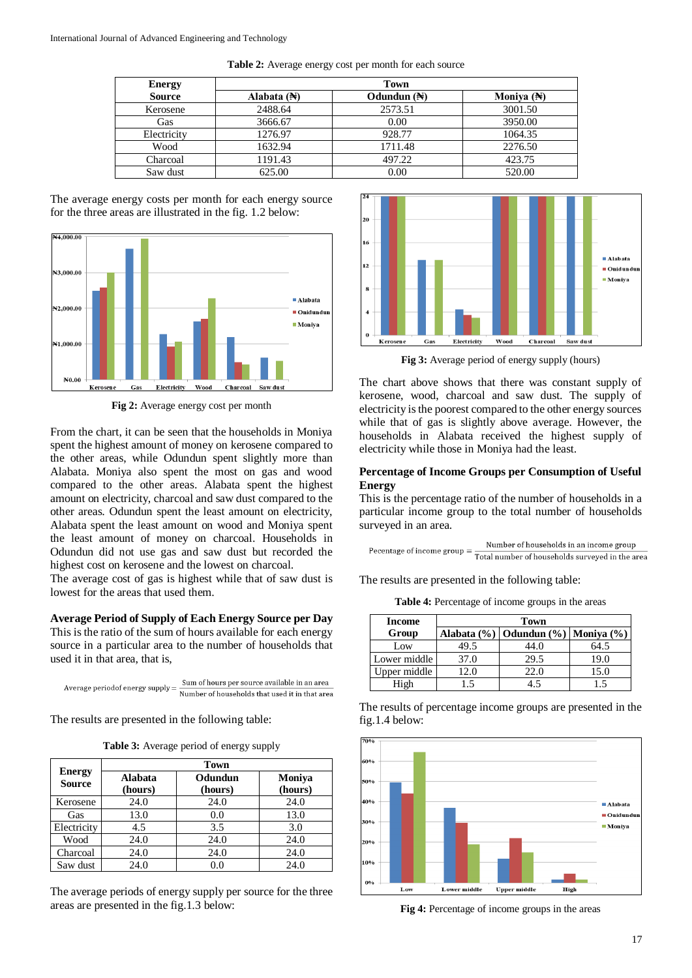| <b>Energy</b> | <b>Town</b>            |                        |                       |
|---------------|------------------------|------------------------|-----------------------|
| <b>Source</b> | Alabata $(\mathbb{H})$ | Odundun $(\mathbb{H})$ | Moniva $(\mathbb{H})$ |
| Kerosene      | 2488.64                | 2573.51                | 3001.50               |
| Gas           | 3666.67                | 0.00                   | 3950.00               |
| Electricity   | 1276.97                | 928.77                 | 1064.35               |
| Wood          | 1632.94                | 1711.48                | 2276.50               |
| Charcoal      | 1191.43                | 497.22                 | 423.75                |
| Saw dust      | 625.00                 | 0.00                   | 520.00                |

**Table 2:** Average energy cost per month for each source

The average energy costs per month for each energy source for the three areas are illustrated in the fig. 1.2 below:



**Fig 2:** Average energy cost per month

From the chart, it can be seen that the households in Moniya spent the highest amount of money on kerosene compared to the other areas, while Odundun spent slightly more than Alabata. Moniya also spent the most on gas and wood compared to the other areas. Alabata spent the highest amount on electricity, charcoal and saw dust compared to the other areas. Odundun spent the least amount on electricity, Alabata spent the least amount on wood and Moniya spent the least amount of money on charcoal. Households in Odundun did not use gas and saw dust but recorded the highest cost on kerosene and the lowest on charcoal.

The average cost of gas is highest while that of saw dust is lowest for the areas that used them.

#### **Average Period of Supply of Each Energy Source per Day**

This is the ratio of the sum of hours available for each energy source in a particular area to the number of households that used it in that area, that is,

|  | Sum of hours per source available in an area   |
|--|------------------------------------------------|
|  | Number of households that used it in that area |

The results are presented in the following table:

**Table 3:** Average period of energy supply

| <b>Energy</b><br><b>Source</b> | <b>Town</b>               |                    |                   |
|--------------------------------|---------------------------|--------------------|-------------------|
|                                | <b>Alabata</b><br>(hours) | Odundun<br>(hours) | Moniya<br>(hours) |
| Kerosene                       | 24.0                      | 24.0               | 24.0              |
| Gas                            | 13.0                      | 0.0                | 13.0              |
| Electricity                    | 4.5                       | 3.5                | 3.0               |
| Wood                           | 24.0                      | 24.0               | 24.0              |
| Charcoal                       | 24.0                      | 24.0               | 24.0              |
| Saw dust                       | 24.0                      | 0.0                | 24.0              |

The average periods of energy supply per source for the three areas are presented in the fig.1.3 below:



**Fig 3:** Average period of energy supply (hours)

The chart above shows that there was constant supply of kerosene, wood, charcoal and saw dust. The supply of electricity is the poorest compared to the other energy sources while that of gas is slightly above average. However, the households in Alabata received the highest supply of electricity while those in Moniya had the least.

# **Percentage of Income Groups per Consumption of Useful Energy**

This is the percentage ratio of the number of households in a particular income group to the total number of households surveyed in an area.

Number of households in an income group Pecentage of income group  $=$   $\frac{\text{Number of households in an income group}}{\text{Total number of households surveyed in the area}}$ 

The results are presented in the following table:

**Table 4:** Percentage of income groups in the areas

| Income       | Town |                                        |      |
|--------------|------|----------------------------------------|------|
| Group        |      | Alabata (%)   Odundun (%)   Moniya (%) |      |
| Low          | 49.5 | 44.0                                   | 64.5 |
| Lower middle | 37.0 | 29.5                                   | 19.0 |
| Upper middle | l2.0 | 22.0                                   | 15.0 |
| High         |      |                                        | 15   |

The results of percentage income groups are presented in the fig.1.4 below:



**Fig 4:** Percentage of income groups in the areas